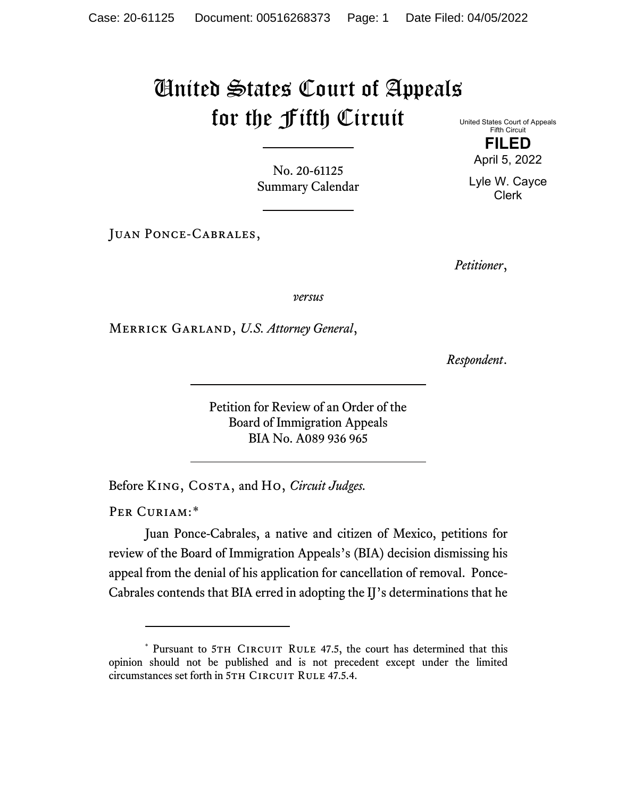## United States Court of Appeals for the Fifth Circuit

No. 20-61125 Summary Calendar

Juan Ponce-Cabrales,

United States Court of Appeals Fifth Circuit

> **FILED** April 5, 2022

Lyle W. Cayce Clerk

*Petitioner*,

*versus*

Merrick Garland, *U.S. Attorney General*,

*Respondent*.

Petition for Review of an Order of the Board of Immigration Appeals BIA No. A089 936 965

Before King, Costa, and Ho, *Circuit Judges.*

PER CURIAM:[\\*](#page-0-0)

Juan Ponce-Cabrales, a native and citizen of Mexico, petitions for review of the Board of Immigration Appeals's (BIA) decision dismissing his appeal from the denial of his application for cancellation of removal. Ponce-Cabrales contends that BIA erred in adopting the IJ's determinations that he

<span id="page-0-0"></span><sup>\*</sup> Pursuant to 5TH CIRCUIT RULE 47.5, the court has determined that this opinion should not be published and is not precedent except under the limited circumstances set forth in 5TH CIRCUIT RULE 47.5.4.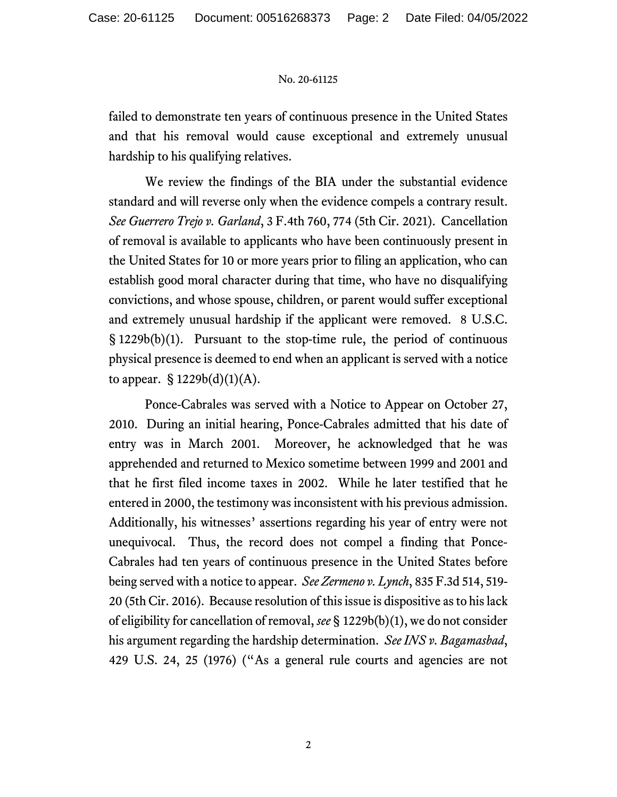## No. 20-61125

failed to demonstrate ten years of continuous presence in the United States and that his removal would cause exceptional and extremely unusual hardship to his qualifying relatives.

We review the findings of the BIA under the substantial evidence standard and will reverse only when the evidence compels a contrary result. *See Guerrero Trejo v. Garland*, 3 F.4th 760, 774 (5th Cir. 2021). Cancellation of removal is available to applicants who have been continuously present in the United States for 10 or more years prior to filing an application, who can establish good moral character during that time, who have no disqualifying convictions, and whose spouse, children, or parent would suffer exceptional and extremely unusual hardship if the applicant were removed. 8 U.S.C. § 1229b(b)(1). Pursuant to the stop-time rule, the period of continuous physical presence is deemed to end when an applicant is served with a notice to appear.  $\S 1229b(d)(1)(A)$ .

Ponce-Cabrales was served with a Notice to Appear on October 27, 2010. During an initial hearing, Ponce-Cabrales admitted that his date of entry was in March 2001. Moreover, he acknowledged that he was apprehended and returned to Mexico sometime between 1999 and 2001 and that he first filed income taxes in 2002. While he later testified that he entered in 2000, the testimony was inconsistent with his previous admission. Additionally, his witnesses' assertions regarding his year of entry were not unequivocal. Thus, the record does not compel a finding that Ponce-Cabrales had ten years of continuous presence in the United States before being served with a notice to appear. *See Zermeno v. Lynch*, 835 F.3d 514, 519- 20 (5th Cir. 2016). Because resolution of this issue is dispositive as to his lack of eligibility for cancellation of removal, *see* § 1229b(b)(1), we do not consider his argument regarding the hardship determination. *See INS v. Bagamasbad*, 429 U.S. 24, 25 (1976) ("As a general rule courts and agencies are not